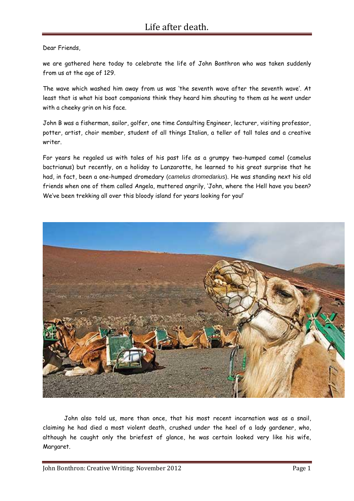Dear Friends,

we are gathered here today to celebrate the life of John Bonthron who was taken suddenly from us at the age of 129.

The wave which washed him away from us was 'the seventh wave after the seventh wave'. At least that is what his boat companions think they heard him shouting to them as he went under with a cheeky grin on his face.

John B was a fisherman, sailor, golfer, one time Consulting Engineer, lecturer, visiting professor, potter, artist, choir member, student of all things Italian, a teller of tall tales and a creative writer.

For years he regaled us with tales of his past life as a grumpy two-humped camel (camelus bactrianus) but recently, on a holiday to Lanzarotte, he learned to his great surprise that he had, in fact, been a one-humped dromedary (*camelus dromedarius*). He was standing next his old friends when one of them called Angela, muttered angrily, 'John, where the Hell have you been? We've been trekking all over this bloody island for years looking for you!'



John also told us, more than once, that his most recent incarnation was as a snail, claiming he had died a most violent death, crushed under the heel of a lady gardener, who, although he caught only the briefest of glance, he was certain looked very like his wife, Margaret.